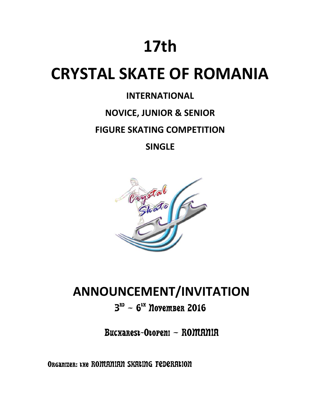# **17th**

## **CRYSTAL SKATE OF ROMANIA**

## **INTERNATIONAL**

## **NOVICE, JUNIOR & SENIOR**

### **FIGURE SKATING COMPETITION**

**SINGLE**



## **ANNOUNCEMENT/INVITATION**

## $B<sup>RD</sup>$  – 6<sup>tx</sup> November 2016

Bucharest-Otopeni – ROMANIA

Organizer: the ROMANIAN SKATING FEDERATION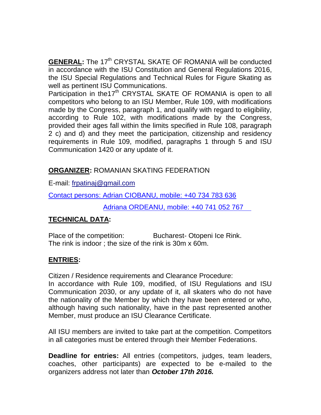**<u>GENERAL</u>:** The 17<sup>th</sup> CRYSTAL SKATE OF ROMANIA will be conducted in accordance with the ISU Constitution and General Regulations 2016, the ISU Special Regulations and Technical Rules for Figure Skating as well as pertinent ISU Communications.

Participation in the17<sup>th</sup> CRYSTAL SKATE OF ROMANIA is open to all competitors who belong to an ISU Member, Rule 109, with modifications made by the Congress, paragraph 1, and qualify with regard to eligibility, according to Rule 102, with modifications made by the Congress, provided their ages fall within the limits specified in Rule 108, paragraph 2 c) and d) and they meet the participation, citizenship and residency requirements in Rule 109, modified, paragraphs 1 through 5 and ISU Communication 1420 or any update of it.

#### **ORGANIZER:** ROMANIAN SKATING FEDERATION

E-mail: frpatinaj@gmail.com

Contact persons: Adrian CIOBANU, mobile: +40 734 783 636

Adriana ORDEANU, mobile: +40 741 052 767

#### **TECHNICAL DATA:**

Place of the competition: Bucharest- Otopeni Ice Rink. The rink is indoor ; the size of the rink is 30m x 60m.

#### **ENTRIES:**

Citizen / Residence requirements and Clearance Procedure:

In accordance with Rule 109, modified, of ISU Regulations and ISU Communication 2030, or any update of it, all skaters who do not have the nationality of the Member by which they have been entered or who, although having such nationality, have in the past represented another Member, must produce an ISU Clearance Certificate.

All ISU members are invited to take part at the competition. Competitors in all categories must be entered through their Member Federations.

**Deadline for entries:** All entries (competitors, judges, team leaders, coaches, other participants) are expected to be e-mailed to the organizers address not later than *October 17th 2016.*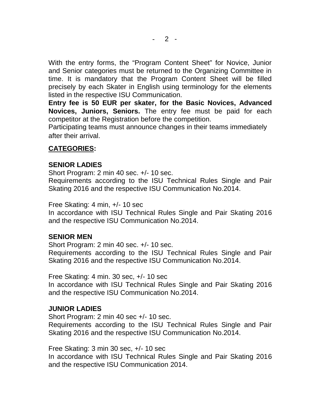With the entry forms, the "Program Content Sheet" for Novice, Junior and Senior categories must be returned to the Organizing Committee in time. It is mandatory that the Program Content Sheet will be filled precisely by each Skater in English using terminology for the elements listed in the respective ISU Communication.

**Entry fee is 50 EUR per skater, for the Basic Novices, Advanced Novices, Juniors, Seniors.** The entry fee must be paid for each competitor at the Registration before the competition.

Participating teams must announce changes in their teams immediately after their arrival.

#### **CATEGORIES:**

#### **SENIOR LADIES**

Short Program: 2 min 40 sec. +/- 10 sec.

Requirements according to the ISU Technical Rules Single and Pair Skating 2016 and the respective ISU Communication No.2014.

Free Skating: 4 min, +/- 10 sec

In accordance with ISU Technical Rules Single and Pair Skating 2016 and the respective ISU Communication No.2014.

#### **SENIOR MEN**

Short Program: 2 min 40 sec. +/- 10 sec. Requirements according to the ISU Technical Rules Single and Pair Skating 2016 and the respective ISU Communication No.2014.

Free Skating: 4 min. 30 sec, +/- 10 sec

In accordance with ISU Technical Rules Single and Pair Skating 2016 and the respective ISU Communication No.2014.

#### **JUNIOR LADIES**

Short Program: 2 min 40 sec +/- 10 sec. Requirements according to the ISU Technical Rules Single and Pair Skating 2016 and the respective ISU Communication No.2014.

Free Skating: 3 min 30 sec, +/- 10 sec

In accordance with ISU Technical Rules Single and Pair Skating 2016 and the respective ISU Communication 2014.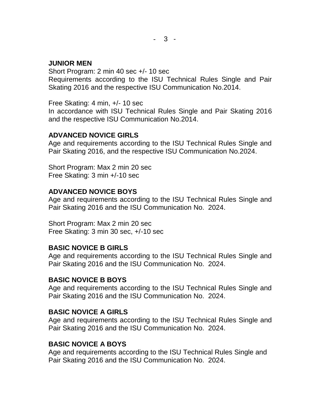#### **JUNIOR MEN**

Short Program: 2 min 40 sec +/- 10 sec Requirements according to the ISU Technical Rules Single and Pair Skating 2016 and the respective ISU Communication No.2014.

Free Skating: 4 min, +/- 10 sec

In accordance with ISU Technical Rules Single and Pair Skating 2016 and the respective ISU Communication No.2014.

#### **ADVANCED NOVICE GIRLS**

Age and requirements according to the ISU Technical Rules Single and Pair Skating 2016, and the respective ISU Communication No.2024.

Short Program: Max 2 min 20 sec Free Skating: 3 min +/-10 sec

#### **ADVANCED NOVICE BOYS**

Age and requirements according to the ISU Technical Rules Single and Pair Skating 2016 and the ISU Communication No. 2024.

Short Program: Max 2 min 20 sec Free Skating: 3 min 30 sec, +/-10 sec

#### **BASIC NOVICE B GIRLS**

Age and requirements according to the ISU Technical Rules Single and Pair Skating 2016 and the ISU Communication No. 2024.

#### **BASIC NOVICE B BOYS**

Age and requirements according to the ISU Technical Rules Single and Pair Skating 2016 and the ISU Communication No. 2024.

#### **BASIC NOVICE A GIRLS**

Age and requirements according to the ISU Technical Rules Single and Pair Skating 2016 and the ISU Communication No. 2024.

#### **BASIC NOVICE A BOYS**

Age and requirements according to the ISU Technical Rules Single and Pair Skating 2016 and the ISU Communication No. 2024.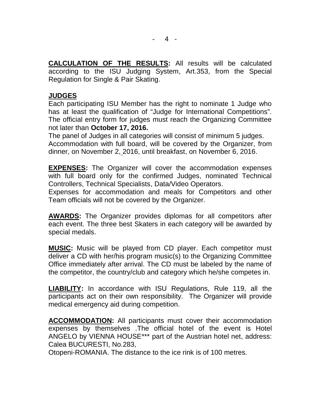**CALCULATION OF THE RESULTS:** All results will be calculated according to the ISU Judging System, Art.353, from the Special Regulation for Single & Pair Skating.

#### **JUDGES**

Each participating ISU Member has the right to nominate 1 Judge who has at least the qualification of "Judge for International Competitions". The official entry form for judges must reach the Organizing Committee not later than **October 17, 2016.**

The panel of Judges in all categories will consist of minimum 5 judges. Accommodation with full board, will be covered by the Organizer, from dinner, on November 2, 2016, until breakfast, on November 6, 2016.

**EXPENSES:** The Organizer will cover the accommodation expenses with full board only for the confirmed Judges, nominated Technical Controllers, Technical Specialists, Data/Video Operators.

Expenses for accommodation and meals for Competitors and other Team officials will not be covered by the Organizer.

**AWARDS:** The Organizer provides diplomas for all competitors after each event. The three best Skaters in each category will be awarded by special medals.

**MUSIC:** Music will be played from CD player. Each competitor must deliver a CD with her/his program music(s) to the Organizing Committee Office immediately after arrival. The CD must be labeled by the name of the competitor, the country/club and category which he/she competes in.

**LIABILITY:** In accordance with ISU Regulations, Rule 119, all the participants act on their own responsibility. The Organizer will provide medical emergency aid during competition.

**ACCOMMODATION:** All participants must cover their accommodation expenses by themselves .The official hotel of the event is Hotel ANGELO by VIENNA HOUSE\*\*\* part of the Austrian hotel net, address: Calea BUCURESTI, No.283,

Otopeni-ROMANIA. The distance to the ice rink is of 100 metres.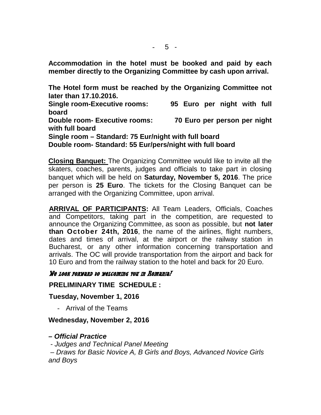**Accommodation in the hotel must be booked and paid by each member directly to the Organizing Committee by cash upon arrival.**

**The Hotel form must be reached by the Organizing Committee not later than 17.10.2016.**

**Single room-Executive rooms: 95 Euro per night with full board Double room- Executive rooms: 70 Euro per person per night with full board Single room – Standard: 75 Eur/night with full board**

**Double room- Standard: 55 Eur/pers/night with full board**

**Closing Banquet:** The Organizing Committee would like to invite all the skaters, coaches, parents, judges and officials to take part in closing banquet which will be held on **Saturday, November 5, 2016**. The price per person is **25 Euro**. The tickets for the Closing Banquet can be arranged with the Organizing Committee, upon arrival.

**ARRIVAL OF PARTICIPANTS:** All Team Leaders, Officials, Coaches and Competitors, taking part in the competition, are requested to announce the Organizing Committee, as soon as possible, but **not later than October 24th, 2016**, the name of the airlines, flight numbers, dates and times of arrival, at the airport or the railway station in Bucharest, or any other information concerning transportation and arrivals. The OC will provide transportation from the airport and back for 10 Euro and from the railway station to the hotel and back for 20 Euro.

#### *We look forward to welcoming you in Romania!*

**PRELIMINARY TIME SCHEDULE :**

**Tuesday, November 1, 2016**

- Arrival of the Teams

#### **Wednesday, November 2, 2016**

#### *– Official Practice*

*- Judges and Technical Panel Meeting*

*– Draws for Basic Novice A, B Girls and Boys, Advanced Novice Girls and Boys*